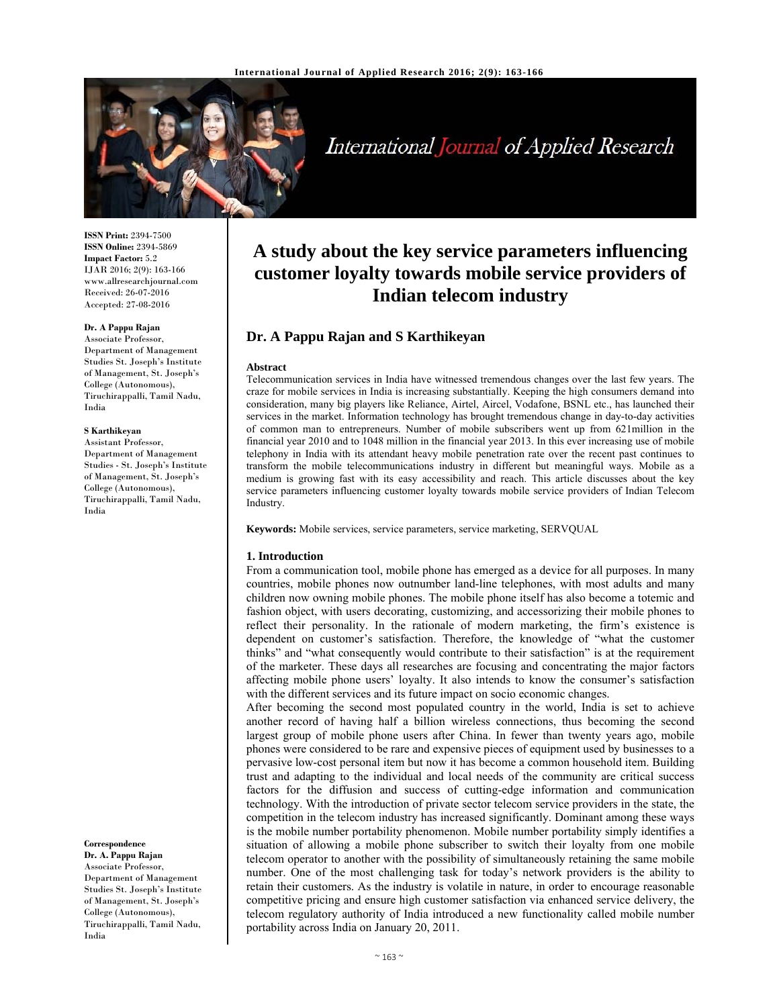

International Journal of Applied Research

**ISSN Print:** 2394-7500 **ISSN Online:** 2394-5869 **Impact Factor:** 5.2 IJAR 2016; 2(9): 163-166 www.allresearchjournal.com Received: 26-07-2016 Accepted: 27-08-2016

#### **Dr. A Pappu Rajan**

Associate Professor, Department of Management Studies St. Joseph's Institute of Management, St. Joseph's College (Autonomous), Tiruchirappalli, Tamil Nadu, India

#### **S Karthikeyan**

Assistant Professor, Department of Management Studies - St. Joseph's Institute of Management, St. Joseph's College (Autonomous), Tiruchirappalli, Tamil Nadu, India

**Correspondence**

**Dr. A. Pappu Rajan**  Associate Professor, Department of Management Studies St. Joseph's Institute of Management, St. Joseph's College (Autonomous), Tiruchirappalli, Tamil Nadu, India

# **A study about the key service parameters influencing customer loyalty towards mobile service providers of Indian telecom industry**

# **Dr. A Pappu Rajan and S Karthikeyan**

#### **Abstract**

Telecommunication services in India have witnessed tremendous changes over the last few years. The craze for mobile services in India is increasing substantially. Keeping the high consumers demand into consideration, many big players like Reliance, Airtel, Aircel, Vodafone, BSNL etc., has launched their services in the market. Information technology has brought tremendous change in day-to-day activities of common man to entrepreneurs. Number of mobile subscribers went up from 621million in the financial year 2010 and to 1048 million in the financial year 2013. In this ever increasing use of mobile telephony in India with its attendant heavy mobile penetration rate over the recent past continues to transform the mobile telecommunications industry in different but meaningful ways. Mobile as a medium is growing fast with its easy accessibility and reach. This article discusses about the key service parameters influencing customer loyalty towards mobile service providers of Indian Telecom Industry.

**Keywords:** Mobile services, service parameters, service marketing, SERVQUAL

#### **1. Introduction**

From a communication tool, mobile phone has emerged as a device for all purposes. In many countries, mobile phones now outnumber land-line telephones, with most adults and many children now owning mobile phones. The mobile phone itself has also become a totemic and fashion object, with users decorating, customizing, and accessorizing their mobile phones to reflect their personality. In the rationale of modern marketing, the firm's existence is dependent on customer's satisfaction. Therefore, the knowledge of "what the customer thinks" and "what consequently would contribute to their satisfaction" is at the requirement of the marketer. These days all researches are focusing and concentrating the major factors affecting mobile phone users' loyalty. It also intends to know the consumer's satisfaction with the different services and its future impact on socio economic changes.

After becoming the second most populated country in the world, India is set to achieve another record of having half a billion wireless connections, thus becoming the second largest group of mobile phone users after China. In fewer than twenty years ago, mobile phones were considered to be rare and expensive pieces of equipment used by businesses to a pervasive low-cost personal item but now it has become a common household item. Building trust and adapting to the individual and local needs of the community are critical success factors for the diffusion and success of cutting-edge information and communication technology. With the introduction of private sector telecom service providers in the state, the competition in the telecom industry has increased significantly. Dominant among these ways is the mobile number portability phenomenon. Mobile number portability simply identifies a situation of allowing a mobile phone subscriber to switch their loyalty from one mobile telecom operator to another with the possibility of simultaneously retaining the same mobile number. One of the most challenging task for today's network providers is the ability to retain their customers. As the industry is volatile in nature, in order to encourage reasonable competitive pricing and ensure high customer satisfaction via enhanced service delivery, the telecom regulatory authority of India introduced a new functionality called mobile number portability across India on January 20, 2011.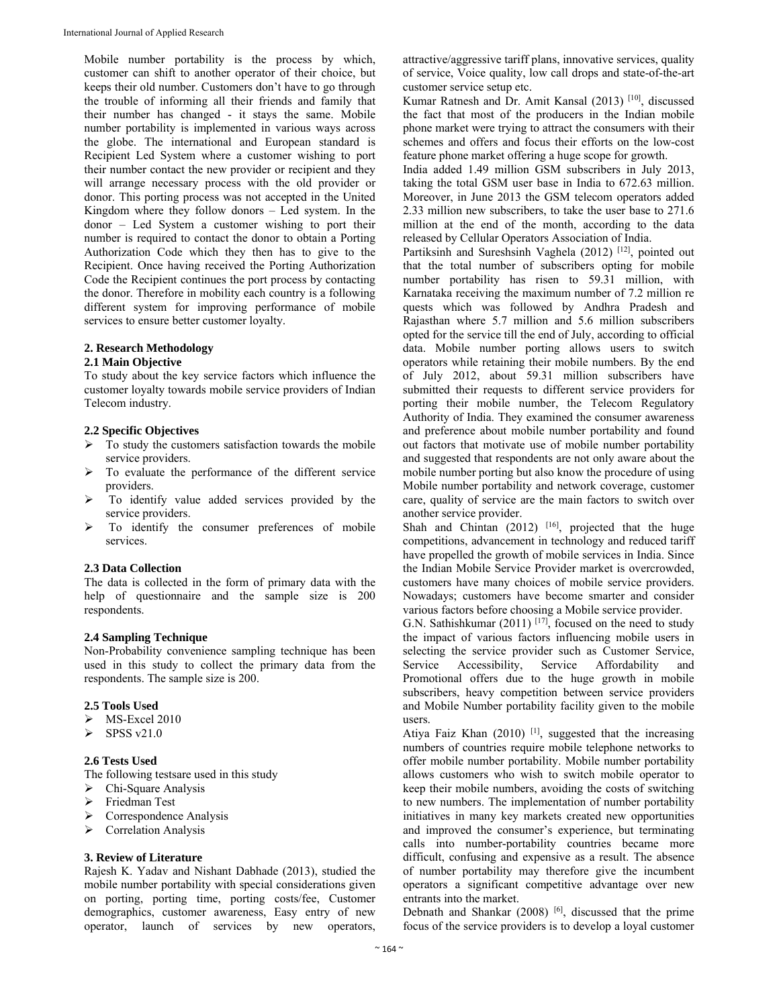Mobile number portability is the process by which, customer can shift to another operator of their choice, but keeps their old number. Customers don't have to go through the trouble of informing all their friends and family that their number has changed - it stays the same. Mobile number portability is implemented in various ways across the globe. The international and European standard is Recipient Led System where a customer wishing to port their number contact the new provider or recipient and they will arrange necessary process with the old provider or donor. This porting process was not accepted in the United Kingdom where they follow donors – Led system. In the donor – Led System a customer wishing to port their number is required to contact the donor to obtain a Porting Authorization Code which they then has to give to the Recipient. Once having received the Porting Authorization Code the Recipient continues the port process by contacting the donor. Therefore in mobility each country is a following different system for improving performance of mobile services to ensure better customer loyalty.

## **2. Research Methodology**

## **2.1 Main Objective**

To study about the key service factors which influence the customer loyalty towards mobile service providers of Indian Telecom industry.

## **2.2 Specific Objectives**

- $\triangleright$  To study the customers satisfaction towards the mobile service providers.
- To evaluate the performance of the different service providers.
- To identify value added services provided by the service providers.
- $\triangleright$  To identify the consumer preferences of mobile services.

#### **2.3 Data Collection**

The data is collected in the form of primary data with the help of questionnaire and the sample size is 200 respondents.

#### **2.4 Sampling Technique**

Non-Probability convenience sampling technique has been used in this study to collect the primary data from the respondents. The sample size is 200.

## **2.5 Tools Used**

- MS-Excel 2010
- $\triangleright$  SPSS v21.0

## **2.6 Tests Used**

The following testsare used in this study

- Chi-Square Analysis
- Friedman Test
- Correspondence Analysis
- Correlation Analysis

## **3. Review of Literature**

Rajesh K. Yadav and Nishant Dabhade (2013), studied the mobile number portability with special considerations given on porting, porting time, porting costs/fee, Customer demographics, customer awareness, Easy entry of new operator, launch of services by new operators,

attractive/aggressive tariff plans, innovative services, quality of service, Voice quality, low call drops and state-of-the-art customer service setup etc.

Kumar Ratnesh and Dr. Amit Kansal (2013) [10], discussed the fact that most of the producers in the Indian mobile phone market were trying to attract the consumers with their schemes and offers and focus their efforts on the low-cost feature phone market offering a huge scope for growth.

India added 1.49 million GSM subscribers in July 2013, taking the total GSM user base in India to 672.63 million. Moreover, in June 2013 the GSM telecom operators added 2.33 million new subscribers, to take the user base to 271.6 million at the end of the month, according to the data released by Cellular Operators Association of India.

Partiksinh and Sureshsinh Vaghela (2012)<sup>[12]</sup>, pointed out that the total number of subscribers opting for mobile number portability has risen to 59.31 million, with Karnataka receiving the maximum number of 7.2 million re quests which was followed by Andhra Pradesh and Rajasthan where 5.7 million and 5.6 million subscribers opted for the service till the end of July, according to official data. Mobile number porting allows users to switch operators while retaining their mobile numbers. By the end of July 2012, about 59.31 million subscribers have submitted their requests to different service providers for porting their mobile number, the Telecom Regulatory Authority of India. They examined the consumer awareness and preference about mobile number portability and found out factors that motivate use of mobile number portability and suggested that respondents are not only aware about the mobile number porting but also know the procedure of using Mobile number portability and network coverage, customer care, quality of service are the main factors to switch over another service provider.

Shah and Chintan  $(2012)$ <sup>[16]</sup>, projected that the huge competitions, advancement in technology and reduced tariff have propelled the growth of mobile services in India. Since the Indian Mobile Service Provider market is overcrowded, customers have many choices of mobile service providers. Nowadays; customers have become smarter and consider various factors before choosing a Mobile service provider.

G.N. Sathishkumar (2011) [17], focused on the need to study the impact of various factors influencing mobile users in selecting the service provider such as Customer Service, Service Accessibility, Service Affordability and Promotional offers due to the huge growth in mobile subscribers, heavy competition between service providers and Mobile Number portability facility given to the mobile users.

Atiya Faiz Khan (2010)<sup>[1]</sup>, suggested that the increasing numbers of countries require mobile telephone networks to offer mobile number portability. Mobile number portability allows customers who wish to switch mobile operator to keep their mobile numbers, avoiding the costs of switching to new numbers. The implementation of number portability initiatives in many key markets created new opportunities and improved the consumer's experience, but terminating calls into number-portability countries became more difficult, confusing and expensive as a result. The absence of number portability may therefore give the incumbent operators a significant competitive advantage over new entrants into the market.

Debnath and Shankar (2008) [6], discussed that the prime focus of the service providers is to develop a loyal customer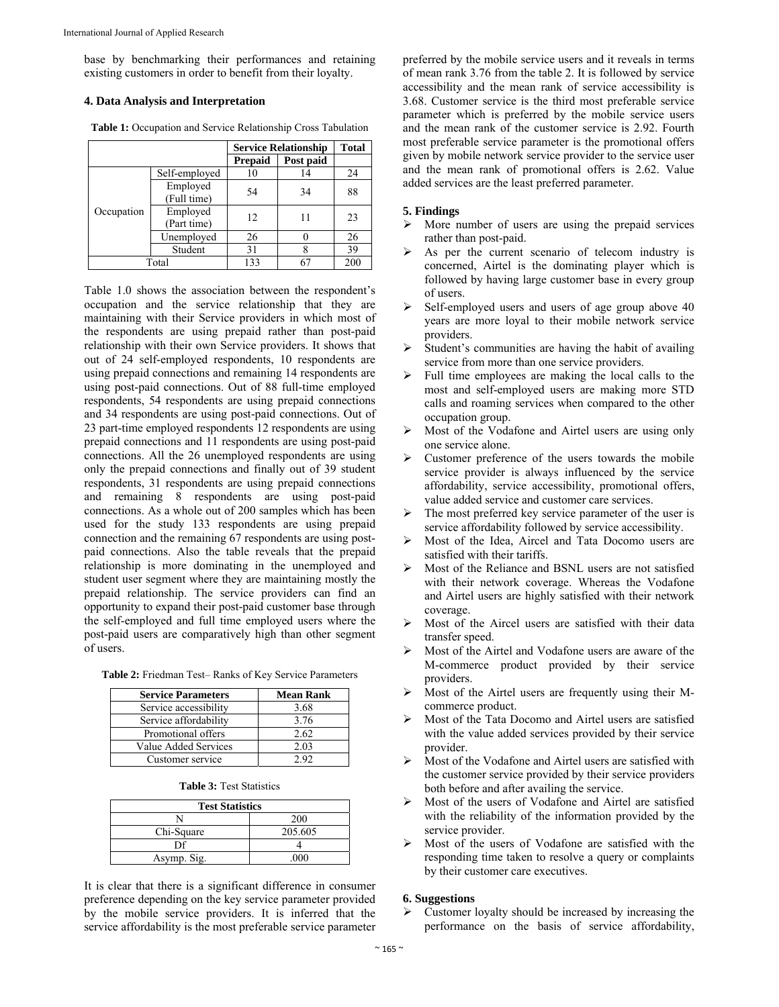base by benchmarking their performances and retaining existing customers in order to benefit from their loyalty.

#### **4. Data Analysis and Interpretation**

**Table 1:** Occupation and Service Relationship Cross Tabulation

|            |                         | <b>Service Relationship</b> |           | <b>Total</b> |
|------------|-------------------------|-----------------------------|-----------|--------------|
|            |                         | <b>Prepaid</b>              | Post paid |              |
|            | Self-employed           | 10                          | 14        | 24           |
|            | Employed<br>(Full time) | 54                          | 34        | 88           |
| Occupation | Employed<br>(Part time) | 12                          | 11        | 23           |
|            | Unemployed              | 26                          |           | 26           |
|            | Student                 | 31                          |           | 39           |
| Total      |                         | 133                         | 67        | 200          |

Table 1.0 shows the association between the respondent's occupation and the service relationship that they are maintaining with their Service providers in which most of the respondents are using prepaid rather than post-paid relationship with their own Service providers. It shows that out of 24 self-employed respondents, 10 respondents are using prepaid connections and remaining 14 respondents are using post-paid connections. Out of 88 full-time employed respondents, 54 respondents are using prepaid connections and 34 respondents are using post-paid connections. Out of 23 part-time employed respondents 12 respondents are using prepaid connections and 11 respondents are using post-paid connections. All the 26 unemployed respondents are using only the prepaid connections and finally out of 39 student respondents, 31 respondents are using prepaid connections and remaining 8 respondents are using post-paid connections. As a whole out of 200 samples which has been used for the study 133 respondents are using prepaid connection and the remaining 67 respondents are using postpaid connections. Also the table reveals that the prepaid relationship is more dominating in the unemployed and student user segment where they are maintaining mostly the prepaid relationship. The service providers can find an opportunity to expand their post-paid customer base through the self-employed and full time employed users where the post-paid users are comparatively high than other segment of users.

|  |  |  |  | Table 2: Friedman Test-Ranks of Key Service Parameters |
|--|--|--|--|--------------------------------------------------------|
|  |  |  |  |                                                        |

| <b>Service Parameters</b> | <b>Mean Rank</b> |
|---------------------------|------------------|
| Service accessibility     | 3.68             |
| Service affordability     | 3.76             |
| Promotional offers        | 2.62             |
| Value Added Services      | 2.03             |
| Customer service          | 2.92             |

| <b>Table 3: Test Statistics</b> |
|---------------------------------|
|---------------------------------|

| <b>Test Statistics</b> |         |  |  |  |
|------------------------|---------|--|--|--|
|                        | 200     |  |  |  |
| Chi-Square             | 205.605 |  |  |  |
| ηf                     |         |  |  |  |
| Asymp. Sig.            | 000     |  |  |  |

It is clear that there is a significant difference in consumer preference depending on the key service parameter provided by the mobile service providers. It is inferred that the service affordability is the most preferable service parameter

preferred by the mobile service users and it reveals in terms of mean rank 3.76 from the table 2. It is followed by service accessibility and the mean rank of service accessibility is 3.68. Customer service is the third most preferable service parameter which is preferred by the mobile service users and the mean rank of the customer service is 2.92. Fourth most preferable service parameter is the promotional offers given by mobile network service provider to the service user and the mean rank of promotional offers is 2.62. Value added services are the least preferred parameter.

#### **5. Findings**

- $\triangleright$  More number of users are using the prepaid services rather than post-paid.
- As per the current scenario of telecom industry is concerned, Airtel is the dominating player which is followed by having large customer base in every group of users.
- Self-employed users and users of age group above 40 years are more loyal to their mobile network service providers.
- Student's communities are having the habit of availing service from more than one service providers.
- Full time employees are making the local calls to the most and self-employed users are making more STD calls and roaming services when compared to the other occupation group.
- Most of the Vodafone and Airtel users are using only one service alone.
- $\triangleright$  Customer preference of the users towards the mobile service provider is always influenced by the service affordability, service accessibility, promotional offers, value added service and customer care services.
- $\triangleright$  The most preferred key service parameter of the user is service affordability followed by service accessibility.
- Most of the Idea, Aircel and Tata Docomo users are satisfied with their tariffs.
- Most of the Reliance and BSNL users are not satisfied with their network coverage. Whereas the Vodafone and Airtel users are highly satisfied with their network coverage.
- Most of the Aircel users are satisfied with their data transfer speed.
- Most of the Airtel and Vodafone users are aware of the M-commerce product provided by their service providers.
- Most of the Airtel users are frequently using their Mcommerce product.
- Most of the Tata Docomo and Airtel users are satisfied with the value added services provided by their service provider.
- Most of the Vodafone and Airtel users are satisfied with the customer service provided by their service providers both before and after availing the service.
- Most of the users of Vodafone and Airtel are satisfied with the reliability of the information provided by the service provider.
- Most of the users of Vodafone are satisfied with the responding time taken to resolve a query or complaints by their customer care executives.

#### **6. Suggestions**

 Customer loyalty should be increased by increasing the performance on the basis of service affordability,